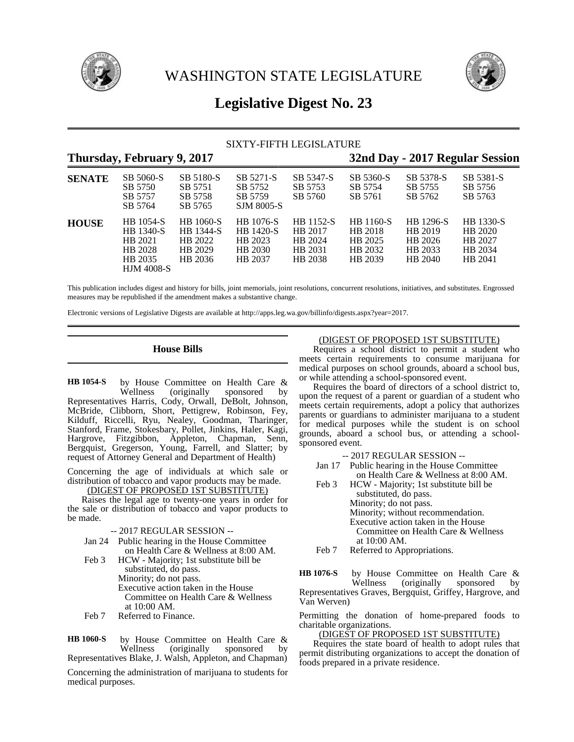



# **Legislative Digest No. 23**

# SIXTY-FIFTH LEGISLATURE

|               | Thursday, February 9, 2017                                                          |                                                         | 32nd Day - 2017 Regular Session                                       |                                                       |                                                              |                                                       |                                                       |
|---------------|-------------------------------------------------------------------------------------|---------------------------------------------------------|-----------------------------------------------------------------------|-------------------------------------------------------|--------------------------------------------------------------|-------------------------------------------------------|-------------------------------------------------------|
| <b>SENATE</b> | SB 5060-S<br>SB 5750<br>SB 5757<br>SB 5764                                          | SB 5180-S<br>SB 5751<br>SB 5758<br>SB 5765              | SB 5271-S<br>SB 5752<br>SB 5759<br>SJM 8005-S                         | SB 5347-S<br>SB 5753<br>SB 5760                       | SB 5360-S<br>SB 5754<br>SB 5761                              | SB 5378-S<br>SB 5755<br>SB 5762                       | SB 5381-S<br>SB 5756<br>SB 5763                       |
| <b>HOUSE</b>  | HB 1054-S<br><b>HB</b> 1340-S<br>HB 2021<br>HB 2028<br>HB 2035<br><b>HJM 4008-S</b> | HB 1060-S<br>HB 1344-S<br>HB 2022<br>HB 2029<br>HB 2036 | <b>HB</b> 1076-S<br><b>HB</b> 1420-S<br>HB 2023<br>HB 2030<br>HB 2037 | HB 1152-S<br>HB 2017<br>HB 2024<br>HB 2031<br>HB 2038 | <b>HB</b> 1160-S<br>HB 2018<br>HB 2025<br>HB 2032<br>HB 2039 | HB 1296-S<br>HB 2019<br>HB 2026<br>HB 2033<br>HB 2040 | HB 1330-S<br>HB 2020<br>HB 2027<br>HB 2034<br>HB 2041 |

This publication includes digest and history for bills, joint memorials, joint resolutions, concurrent resolutions, initiatives, and substitutes. Engrossed measures may be republished if the amendment makes a substantive change.

Electronic versions of Legislative Digests are available at http://apps.leg.wa.gov/billinfo/digests.aspx?year=2017.

# **House Bills**

by House Committee on Health Care &<br>Wellness (originally sponsored by sponsored by Representatives Harris, Cody, Orwall, DeBolt, Johnson, McBride, Clibborn, Short, Pettigrew, Robinson, Fey, Kilduff, Riccelli, Ryu, Nealey, Goodman, Tharinger, Stanford, Frame, Stokesbary, Pollet, Jinkins, Haler, Kagi, Hargrove, Fitzgibbon, Appleton, Chapman, Senn, Bergquist, Gregerson, Young, Farrell, and Slatter; by request of Attorney General and Department of Health) **HB 1054-S**

Concerning the age of individuals at which sale or distribution of tobacco and vapor products may be made.

(DIGEST OF PROPOSED 1ST SUBSTITUTE)

Raises the legal age to twenty-one years in order for the sale or distribution of tobacco and vapor products to be made.

| -- 2017 REGULAR SESSION -- |  |
|----------------------------|--|
|----------------------------|--|

- Jan 24 Public hearing in the House Committee on Health Care & Wellness at 8:00 AM.
- Feb 3 HCW Majority; 1st substitute bill be substituted, do pass. Minority; do not pass. Executive action taken in the House Committee on Health Care & Wellness at 10:00 AM.
- Feb 7 Referred to Finance.

by House Committee on Health Care &<br>Wellness (originally sponsored by (originally sponsored by Representatives Blake, J. Walsh, Appleton, and Chapman) **HB 1060-S**

Concerning the administration of marijuana to students for medical purposes.

### (DIGEST OF PROPOSED 1ST SUBSTITUTE)

Requires a school district to permit a student who meets certain requirements to consume marijuana for medical purposes on school grounds, aboard a school bus, or while attending a school-sponsored event.

Requires the board of directors of a school district to, upon the request of a parent or guardian of a student who meets certain requirements, adopt a policy that authorizes parents or guardians to administer marijuana to a student for medical purposes while the student is on school grounds, aboard a school bus, or attending a schoolsponsored event.

- -- 2017 REGULAR SESSION --
- Jan 17 Public hearing in the House Committee on Health Care & Wellness at 8:00 AM.
- Feb 3 HCW Majority; 1st substitute bill be substituted, do pass. Minority; do not pass. Minority; without recommendation.
	- Executive action taken in the House Committee on Health Care & Wellness
	- at 10:00 AM.
- Feb 7 Referred to Appropriations.

by House Committee on Health Care & Wellness (originally sponsored Representatives Graves, Bergquist, Griffey, Hargrove, and Van Werven) **HB 1076-S**

Permitting the donation of home-prepared foods to charitable organizations.

# (DIGEST OF PROPOSED 1ST SUBSTITUTE)

Requires the state board of health to adopt rules that permit distributing organizations to accept the donation of foods prepared in a private residence.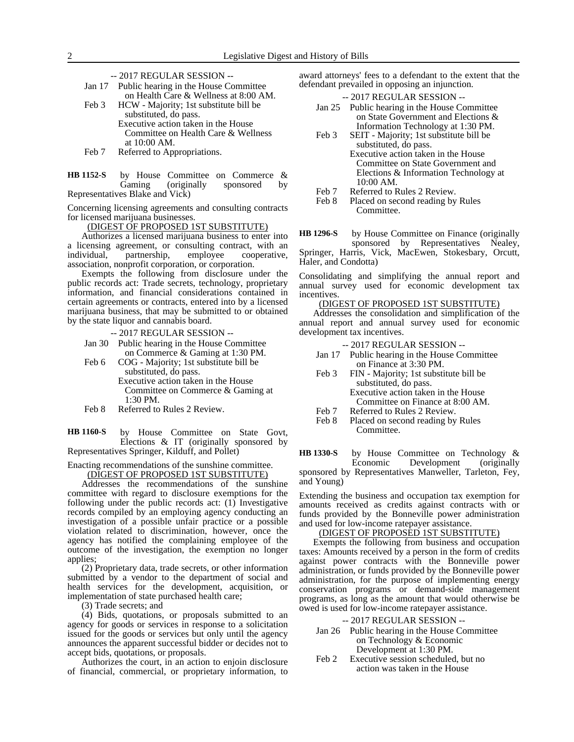- -- 2017 REGULAR SESSION --
- Jan 17 Public hearing in the House Committee on Health Care & Wellness at 8:00 AM. Feb 3 HCW - Majority; 1st substitute bill be
	- substituted, do pass. Executive action taken in the House Committee on Health Care & Wellness at 10:00 AM.
- Feb 7 Referred to Appropriations.
- by House Committee on Commerce & Gaming (originally sponsored by Representatives Blake and Vick) **HB 1152-S**

Concerning licensing agreements and consulting contracts for licensed marijuana businesses.

(DIGEST OF PROPOSED 1ST SUBSTITUTE)

Authorizes a licensed marijuana business to enter into a licensing agreement, or consulting contract, with an individual, partnership, employee cooperative, association, nonprofit corporation, or corporation.

Exempts the following from disclosure under the public records act: Trade secrets, technology, proprietary information, and financial considerations contained in certain agreements or contracts, entered into by a licensed marijuana business, that may be submitted to or obtained by the state liquor and cannabis board.

-- 2017 REGULAR SESSION --

- Jan 30 Public hearing in the House Committee on Commerce & Gaming at 1:30 PM.
- Feb 6 COG Majority; 1st substitute bill be substituted, do pass. Executive action taken in the House Committee on Commerce & Gaming at 1:30 PM.
- Feb 8 Referred to Rules 2 Review.

by House Committee on State Govt, Elections & IT (originally sponsored by Representatives Springer, Kilduff, and Pollet) **HB 1160-S**

Enacting recommendations of the sunshine committee.

(DIGEST OF PROPOSED 1ST SUBSTITUTE)

Addresses the recommendations of the sunshine committee with regard to disclosure exemptions for the following under the public records act:  $(1)$  Investigative records compiled by an employing agency conducting an investigation of a possible unfair practice or a possible violation related to discrimination, however, once the agency has notified the complaining employee of the outcome of the investigation, the exemption no longer applies;

(2) Proprietary data, trade secrets, or other information submitted by a vendor to the department of social and health services for the development, acquisition, or implementation of state purchased health care;

(3) Trade secrets; and

(4) Bids, quotations, or proposals submitted to an agency for goods or services in response to a solicitation issued for the goods or services but only until the agency announces the apparent successful bidder or decides not to accept bids, quotations, or proposals.

Authorizes the court, in an action to enjoin disclosure of financial, commercial, or proprietary information, to

award attorneys' fees to a defendant to the extent that the defendant prevailed in opposing an injunction.

# -- 2017 REGULAR SESSION --

- Jan 25 Public hearing in the House Committee on State Government and Elections & Information Technology at 1:30 PM.
- Feb 3 SEIT Majority; 1st substitute bill be substituted, do pass.
	- Executive action taken in the House Committee on State Government and Elections & Information Technology at 10:00 AM.
- Feb 7 Referred to Rules 2 Review.<br>Feb 8 Placed on second reading by
- Placed on second reading by Rules Committee.
- by House Committee on Finance (originally sponsored by Representatives Nealey, Springer, Harris, Vick, MacEwen, Stokesbary, Orcutt, Haler, and Condotta) **HB 1296-S**

Consolidating and simplifying the annual report and annual survey used for economic development tax incentives.

### (DIGEST OF PROPOSED 1ST SUBSTITUTE)

Addresses the consolidation and simplification of the annual report and annual survey used for economic development tax incentives.

-- 2017 REGULAR SESSION --

- Jan 17 Public hearing in the House Committee on Finance at 3:30 PM.
- Feb 3 FIN Majority; 1st substitute bill be substituted, do pass. Executive action taken in the House Committee on Finance at 8:00 AM.
- Feb 7 Referred to Rules 2 Review.
- Feb 8 Placed on second reading by Rules Committee.

by House Committee on Technology &<br>Economic Development (originally Development (originally sponsored by Representatives Manweller, Tarleton, Fey, and Young) **HB 1330-S**

Extending the business and occupation tax exemption for amounts received as credits against contracts with or funds provided by the Bonneville power administration and used for low-income ratepayer assistance.

### (DIGEST OF PROPOSED 1ST SUBSTITUTE)

Exempts the following from business and occupation taxes: Amounts received by a person in the form of credits against power contracts with the Bonneville power administration, or funds provided by the Bonneville power administration, for the purpose of implementing energy conservation programs or demand-side management programs, as long as the amount that would otherwise be owed is used for low-income ratepayer assistance.

### -- 2017 REGULAR SESSION --

- Jan 26 Public hearing in the House Committee on Technology & Economic Development at 1:30 PM.
- Feb 2 Executive session scheduled, but no action was taken in the House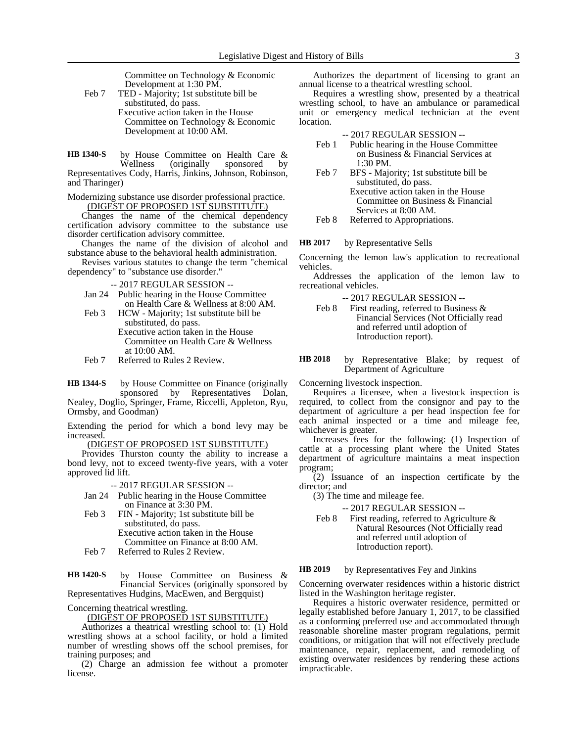Committee on Technology & Economic Development at 1:30 PM.

Feb 7 TED - Majority; 1st substitute bill be substituted, do pass. Executive action taken in the House Committee on Technology & Economic Development at 10:00 AM.

by House Committee on Health Care &<br>Wellness (originally sponsored by (originally sponsored by Representatives Cody, Harris, Jinkins, Johnson, Robinson, and Tharinger) **HB 1340-S**

Modernizing substance use disorder professional practice. (DIGEST OF PROPOSED 1ST SUBSTITUTE)

Changes the name of the chemical dependency certification advisory committee to the substance use disorder certification advisory committee.

Changes the name of the division of alcohol and substance abuse to the behavioral health administration.

Revises various statutes to change the term "chemical dependency" to "substance use disorder."

-- 2017 REGULAR SESSION --

- Jan 24 Public hearing in the House Committee on Health Care & Wellness at 8:00 AM.
- Feb 3 HCW Majority; 1st substitute bill be substituted, do pass. Executive action taken in the House Committee on Health Care & Wellness at 10:00 AM.
- Feb 7 Referred to Rules 2 Review.

by House Committee on Finance (originally sponsored by Representatives Dolan, Nealey, Doglio, Springer, Frame, Riccelli, Appleton, Ryu, Ormsby, and Goodman) **HB 1344-S**

Extending the period for which a bond levy may be increased.

(DIGEST OF PROPOSED 1ST SUBSTITUTE)

Provides Thurston county the ability to increase a bond levy, not to exceed twenty-five years, with a voter approved lid lift.

-- 2017 REGULAR SESSION --

- Jan 24 Public hearing in the House Committee on Finance at 3:30 PM.
- Feb 3 FIN Majority; 1st substitute bill be substituted, do pass. Executive action taken in the House

Committee on Finance at 8:00 AM.

Feb 7 Referred to Rules 2 Review.

by House Committee on Business & Financial Services (originally sponsored by Representatives Hudgins, MacEwen, and Bergquist) **HB 1420-S**

Concerning theatrical wrestling.

(DIGEST OF PROPOSED 1ST SUBSTITUTE)

Authorizes a theatrical wrestling school to: (1) Hold wrestling shows at a school facility, or hold a limited number of wrestling shows off the school premises, for training purposes; and

(2) Charge an admission fee without a promoter license.

Authorizes the department of licensing to grant an annual license to a theatrical wrestling school.

Requires a wrestling show, presented by a theatrical wrestling school, to have an ambulance or paramedical unit or emergency medical technician at the event location.

-- 2017 REGULAR SESSION --

- Feb 1 Public hearing in the House Committee on Business & Financial Services at 1:30 PM.
- Feb 7 BFS Majority; 1st substitute bill be substituted, do pass. Executive action taken in the House Committee on Business & Financial Services at 8:00 AM.
- Feb 8 Referred to Appropriations.

by Representative Sells **HB 2017**

Concerning the lemon law's application to recreational vehicles.

Addresses the application of the lemon law to recreational vehicles.

-- 2017 REGULAR SESSION --

Feb 8 First reading, referred to Business & Financial Services (Not Officially read and referred until adoption of Introduction report).

by Representative Blake; by request of Department of Agriculture **HB 2018**

Concerning livestock inspection.

Requires a licensee, when a livestock inspection is required, to collect from the consignor and pay to the department of agriculture a per head inspection fee for each animal inspected or a time and mileage fee, whichever is greater.

Increases fees for the following: (1) Inspection of cattle at a processing plant where the United States department of agriculture maintains a meat inspection program;

(2) Issuance of an inspection certificate by the director; and

(3) The time and mileage fee.

-- 2017 REGULAR SESSION --

Feb 8 First reading, referred to Agriculture & Natural Resources (Not Officially read and referred until adoption of Introduction report).

#### by Representatives Fey and Jinkins **HB 2019**

Concerning overwater residences within a historic district listed in the Washington heritage register.

Requires a historic overwater residence, permitted or legally established before January 1, 2017, to be classified as a conforming preferred use and accommodated through reasonable shoreline master program regulations, permit conditions, or mitigation that will not effectively preclude maintenance, repair, replacement, and remodeling of existing overwater residences by rendering these actions impracticable.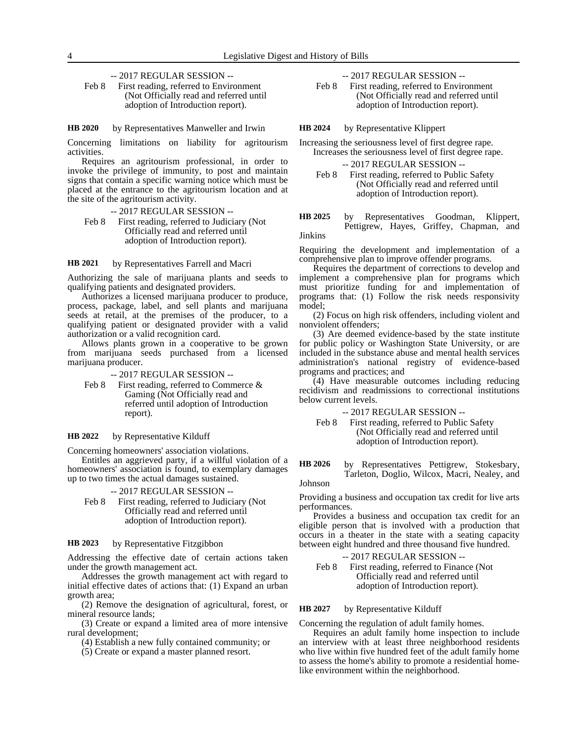-- 2017 REGULAR SESSION --

Feb 8 First reading, referred to Environment (Not Officially read and referred until adoption of Introduction report).

#### by Representatives Manweller and Irwin **HB 2020**

Concerning limitations on liability for agritourism activities.

Requires an agritourism professional, in order to invoke the privilege of immunity, to post and maintain signs that contain a specific warning notice which must be placed at the entrance to the agritourism location and at the site of the agritourism activity.

-- 2017 REGULAR SESSION -- Feb 8 First reading, referred to Judiciary (Not Officially read and referred until adoption of Introduction report).

by Representatives Farrell and Macri **HB 2021**

Authorizing the sale of marijuana plants and seeds to qualifying patients and designated providers.

Authorizes a licensed marijuana producer to produce, process, package, label, and sell plants and marijuana seeds at retail, at the premises of the producer, to a qualifying patient or designated provider with a valid authorization or a valid recognition card.

Allows plants grown in a cooperative to be grown from marijuana seeds purchased from a licensed marijuana producer.

-- 2017 REGULAR SESSION --

Feb 8 First reading, referred to Commerce & Gaming (Not Officially read and referred until adoption of Introduction report).

#### by Representative Kilduff **HB 2022**

Concerning homeowners' association violations.

Entitles an aggrieved party, if a willful violation of a homeowners' association is found, to exemplary damages up to two times the actual damages sustained.

-- 2017 REGULAR SESSION --

Feb 8 First reading, referred to Judiciary (Not Officially read and referred until adoption of Introduction report).

#### by Representative Fitzgibbon **HB 2023**

Addressing the effective date of certain actions taken under the growth management act.

Addresses the growth management act with regard to initial effective dates of actions that: (1) Expand an urban growth area;

(2) Remove the designation of agricultural, forest, or mineral resource lands;

(3) Create or expand a limited area of more intensive rural development;

(4) Establish a new fully contained community; or

(5) Create or expand a master planned resort.

- -- 2017 REGULAR SESSION --
- Feb 8 First reading, referred to Environment (Not Officially read and referred until adoption of Introduction report).

by Representative Klippert **HB 2024**

Increasing the seriousness level of first degree rape. Increases the seriousness level of first degree rape.

- -- 2017 REGULAR SESSION --
- Feb 8 First reading, referred to Public Safety (Not Officially read and referred until adoption of Introduction report).
- by Representatives Goodman, Klippert, Pettigrew, Hayes, Griffey, Chapman, and Jinkins **HB 2025**

Requiring the development and implementation of a comprehensive plan to improve offender programs.

Requires the department of corrections to develop and implement a comprehensive plan for programs which must prioritize funding for and implementation of programs that: (1) Follow the risk needs responsivity model;

(2) Focus on high risk offenders, including violent and nonviolent offenders;

(3) Are deemed evidence-based by the state institute for public policy or Washington State University, or are included in the substance abuse and mental health services administration's national registry of evidence-based programs and practices; and

(4) Have measurable outcomes including reducing recidivism and readmissions to correctional institutions below current levels.

- -- 2017 REGULAR SESSION --
- Feb 8 First reading, referred to Public Safety (Not Officially read and referred until adoption of Introduction report).

by Representatives Pettigrew, Stokesbary, Tarleton, Doglio, Wilcox, Macri, Nealey, and **HB 2026**

# Johnson

Providing a business and occupation tax credit for live arts performances.

Provides a business and occupation tax credit for an eligible person that is involved with a production that occurs in a theater in the state with a seating capacity between eight hundred and three thousand five hundred.

-- 2017 REGULAR SESSION --

Feb 8 First reading, referred to Finance (Not Officially read and referred until adoption of Introduction report).

#### by Representative Kilduff **HB 2027**

Concerning the regulation of adult family homes.

Requires an adult family home inspection to include an interview with at least three neighborhood residents who live within five hundred feet of the adult family home to assess the home's ability to promote a residential homelike environment within the neighborhood.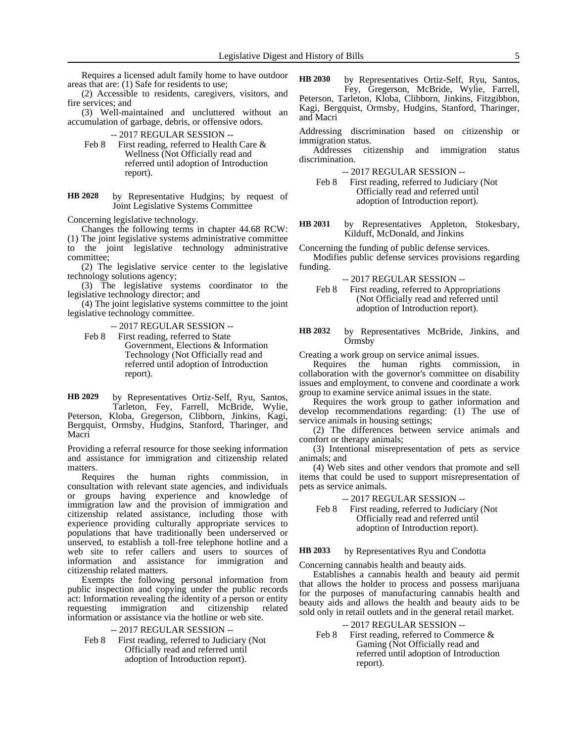Requires a licensed adult family home to have outdoor areas that are: (1) Safe for residents to use;

(2) Accessible to residents, caregivers, visitors, and fire services; and

(3) Well-maintained and uncluttered without an accumulation of garbage, debris, or offensive odors.

-- 2017 REGULAR SESSION --

- Feb 8 First reading, referred to Health Care & Wellness (Not Officially read and referred until adoption of Introduction report).
- by Representative Hudgins; by request of Joint Legislative Systems Committee **HB 2028**

Concerning legislative technology.

Changes the following terms in chapter 44.68 RCW: (1) The joint legislative systems administrative committee to the joint legislative technology administrative committee;

(2) The legislative service center to the legislative technology solutions agency;

(3) The legislative systems coordinator to the legislative technology director; and

(4) The joint legislative systems committee to the joint legislative technology committee.

-- 2017 REGULAR SESSION --

Feb 8 First reading, referred to State Government, Elections & Information Technology (Not Officially read and referred until adoption of Introduction report).

by Representatives Ortiz-Self, Ryu, Santos, Tarleton, Fey, Farrell, McBride, Wylie, Peterson, Kloba, Gregerson, Clibborn, Jinkins, Kagi, Bergquist, Ormsby, Hudgins, Stanford, Tharinger, and Macri **HB 2029**

Providing a referral resource for those seeking information and assistance for immigration and citizenship related matters.

Requires the human rights commission, in consultation with relevant state agencies, and individuals or groups having experience and knowledge of immigration law and the provision of immigration and citizenship related assistance, including those with experience providing culturally appropriate services to populations that have traditionally been underserved or unserved, to establish a toll-free telephone hotline and a web site to refer callers and users to sources of information and assistance for immigration and citizenship related matters.

Exempts the following personal information from public inspection and copying under the public records act: Information revealing the identity of a person or entity requesting immigration and citizenship related information or assistance via the hotline or web site.

-- 2017 REGULAR SESSION --

Feb 8 First reading, referred to Judiciary (Not Officially read and referred until adoption of Introduction report).

by Representatives Ortiz-Self, Ryu, Santos, Fey, Gregerson, McBride, Wylie, Farrell, Peterson, Tarleton, Kloba, Clibborn, Jinkins, Fitzgibbon, Kagi, Bergquist, Ormsby, Hudgins, Stanford, Tharinger, and Macri **HB 2030**

Addressing discrimination based on citizenship or immigration status.

Addresses citizenship and immigration status discrimination.

-- 2017 REGULAR SESSION --

Feb 8 First reading, referred to Judiciary (Not Officially read and referred until adoption of Introduction report).

by Representatives Appleton, Stokesbary, Kilduff, McDonald, and Jinkins **HB 2031**

Concerning the funding of public defense services.

Modifies public defense services provisions regarding funding.

-- 2017 REGULAR SESSION --

- Feb 8 First reading, referred to Appropriations (Not Officially read and referred until adoption of Introduction report).
- by Representatives McBride, Jinkins, and Ormsby **HB 2032**

Creating a work group on service animal issues.

Requires the human rights commission, in collaboration with the governor's committee on disability issues and employment, to convene and coordinate a work group to examine service animal issues in the state.

Requires the work group to gather information and develop recommendations regarding: (1) The use of service animals in housing settings;

(2) The differences between service animals and comfort or therapy animals;

(3) Intentional misrepresentation of pets as service animals; and

(4) Web sites and other vendors that promote and sell items that could be used to support misrepresentation of pets as service animals.

-- 2017 REGULAR SESSION --

Feb 8 First reading, referred to Judiciary (Not Officially read and referred until adoption of Introduction report).

#### by Representatives Ryu and Condotta **HB 2033**

Concerning cannabis health and beauty aids.

Establishes a cannabis health and beauty aid permit that allows the holder to process and possess marijuana for the purposes of manufacturing cannabis health and beauty aids and allows the health and beauty aids to be sold only in retail outlets and in the general retail market.

-- 2017 REGULAR SESSION --

Feb 8 First reading, referred to Commerce & Gaming (Not Officially read and referred until adoption of Introduction report).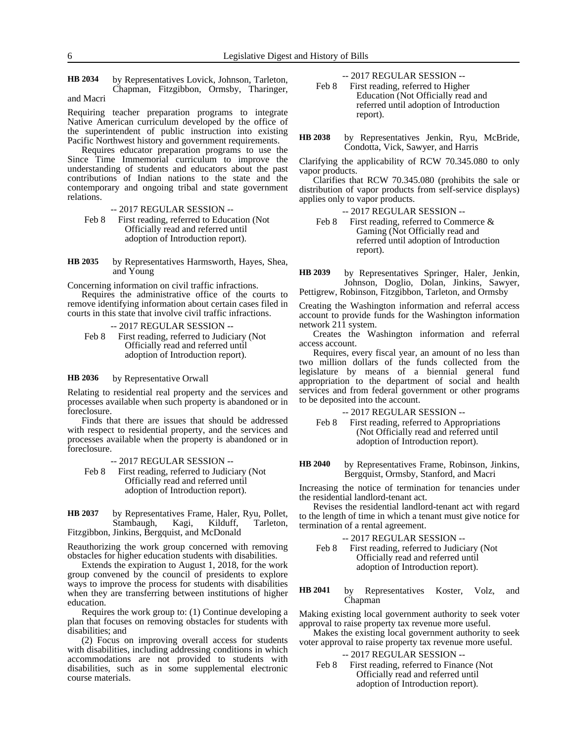by Representatives Lovick, Johnson, Tarleton, Chapman, Fitzgibbon, Ormsby, Tharinger, **HB 2034**

and Macri

Requiring teacher preparation programs to integrate Native American curriculum developed by the office of the superintendent of public instruction into existing Pacific Northwest history and government requirements.

Requires educator preparation programs to use the Since Time Immemorial curriculum to improve the understanding of students and educators about the past contributions of Indian nations to the state and the contemporary and ongoing tribal and state government relations.

-- 2017 REGULAR SESSION --

Feb 8 First reading, referred to Education (Not Officially read and referred until adoption of Introduction report).

by Representatives Harmsworth, Hayes, Shea, and Young **HB 2035**

Concerning information on civil traffic infractions.

Requires the administrative office of the courts to remove identifying information about certain cases filed in courts in this state that involve civil traffic infractions.

-- 2017 REGULAR SESSION --

Feb 8 First reading, referred to Judiciary (Not Officially read and referred until adoption of Introduction report).

#### by Representative Orwall **HB 2036**

Relating to residential real property and the services and processes available when such property is abandoned or in foreclosure.

Finds that there are issues that should be addressed with respect to residential property, and the services and processes available when the property is abandoned or in foreclosure.

-- 2017 REGULAR SESSION --

Feb 8 First reading, referred to Judiciary (Not Officially read and referred until adoption of Introduction report).

by Representatives Frame, Haler, Ryu, Pollet, Stambaugh, Kagi, Kilduff, Tarleton, Fitzgibbon, Jinkins, Bergquist, and McDonald **HB 2037**

Reauthorizing the work group concerned with removing obstacles for higher education students with disabilities.

Extends the expiration to August 1, 2018, for the work group convened by the council of presidents to explore ways to improve the process for students with disabilities when they are transferring between institutions of higher education.

Requires the work group to: (1) Continue developing a plan that focuses on removing obstacles for students with disabilities; and

(2) Focus on improving overall access for students with disabilities, including addressing conditions in which accommodations are not provided to students with disabilities, such as in some supplemental electronic course materials.

-- 2017 REGULAR SESSION --

- Feb 8 First reading, referred to Higher Education (Not Officially read and referred until adoption of Introduction report).
- by Representatives Jenkin, Ryu, McBride, Condotta, Vick, Sawyer, and Harris **HB 2038**

Clarifying the applicability of RCW 70.345.080 to only vapor products.

Clarifies that RCW 70.345.080 (prohibits the sale or distribution of vapor products from self-service displays) applies only to vapor products.

- -- 2017 REGULAR SESSION --
- Feb 8 First reading, referred to Commerce & Gaming (Not Officially read and referred until adoption of Introduction report).
- by Representatives Springer, Haler, Jenkin, Johnson, Doglio, Dolan, Jinkins, Sawyer, Pettigrew, Robinson, Fitzgibbon, Tarleton, and Ormsby **HB 2039**

Creating the Washington information and referral access account to provide funds for the Washington information network 211 system.

Creates the Washington information and referral access account.

Requires, every fiscal year, an amount of no less than two million dollars of the funds collected from the legislature by means of a biennial general fund appropriation to the department of social and health services and from federal government or other programs to be deposited into the account.

- -- 2017 REGULAR SESSION --
- Feb 8 First reading, referred to Appropriations (Not Officially read and referred until adoption of Introduction report).

by Representatives Frame, Robinson, Jinkins, Bergquist, Ormsby, Stanford, and Macri **HB 2040**

Increasing the notice of termination for tenancies under the residential landlord-tenant act.

Revises the residential landlord-tenant act with regard to the length of time in which a tenant must give notice for termination of a rental agreement.

- -- 2017 REGULAR SESSION --
- Feb 8 First reading, referred to Judiciary (Not Officially read and referred until adoption of Introduction report).

by Representatives Koster, Volz, and Chapman **HB 2041**

Making existing local government authority to seek voter approval to raise property tax revenue more useful.

Makes the existing local government authority to seek voter approval to raise property tax revenue more useful.

-- 2017 REGULAR SESSION --

Feb 8 First reading, referred to Finance (Not Officially read and referred until adoption of Introduction report).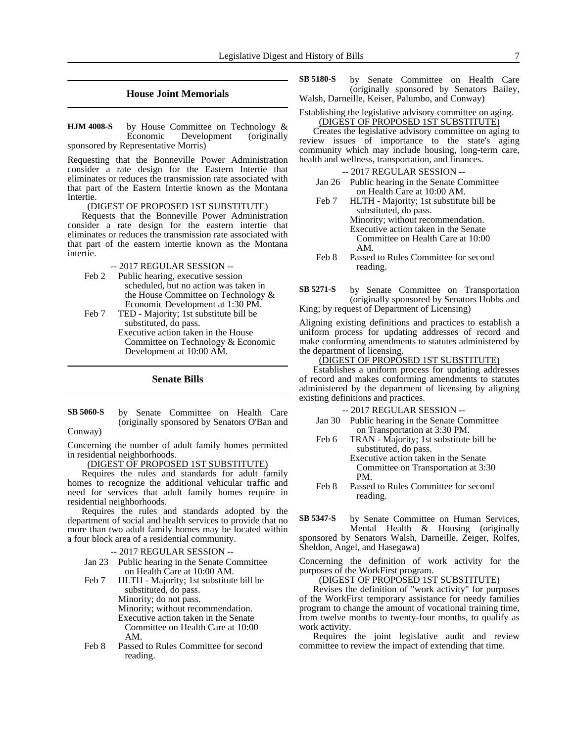### **House Joint Memorials**

by House Committee on Technology & Economic Development (originally sponsored by Representative Morris) **HJM 4008-S**

Requesting that the Bonneville Power Administration consider a rate design for the Eastern Intertie that eliminates or reduces the transmission rate associated with that part of the Eastern Intertie known as the Montana Intertie.

### (DIGEST OF PROPOSED 1ST SUBSTITUTE)

Requests that the Bonneville Power Administration consider a rate design for the eastern intertie that eliminates or reduces the transmission rate associated with that part of the eastern intertie known as the Montana intertie.

#### -- 2017 REGULAR SESSION --

- Feb 2 Public hearing, executive session scheduled, but no action was taken in the House Committee on Technology & Economic Development at 1:30 PM.
- Feb 7 TED Majority; 1st substitute bill be substituted, do pass. Executive action taken in the House Committee on Technology & Economic Development at 10:00 AM.

### **Senate Bills**

by Senate Committee on Health Care (originally sponsored by Senators O'Ban and **SB 5060-S**

Conway)

Concerning the number of adult family homes permitted in residential neighborhoods.

### (DIGEST OF PROPOSED 1ST SUBSTITUTE)

Requires the rules and standards for adult family homes to recognize the additional vehicular traffic and need for services that adult family homes require in residential neighborhoods.

Requires the rules and standards adopted by the department of social and health services to provide that no more than two adult family homes may be located within a four block area of a residential community.

-- 2017 REGULAR SESSION --

- Jan 23 Public hearing in the Senate Committee on Health Care at 10:00 AM.
- Feb 7 HLTH Majority; 1st substitute bill be substituted, do pass. Minority; do not pass. Minority; without recommendation. Executive action taken in the Senate Committee on Health Care at 10:00 AM.
- Feb 8 Passed to Rules Committee for second reading.

by Senate Committee on Health Care (originally sponsored by Senators Bailey, Walsh, Darneille, Keiser, Palumbo, and Conway) **SB 5180-S**

### Establishing the legislative advisory committee on aging. (DIGEST OF PROPOSED 1ST SUBSTITUTE)

Creates the legislative advisory committee on aging to review issues of importance to the state's aging community which may include housing, long-term care, health and wellness, transportation, and finances.

-- 2017 REGULAR SESSION --

- Jan 26 Public hearing in the Senate Committee on Health Care at 10:00 AM.
- Feb 7 HLTH Majority; 1st substitute bill be substituted, do pass. Minority; without recommendation. Executive action taken in the Senate Committee on Health Care at 10:00 AM.
- Feb 8 Passed to Rules Committee for second reading.

by Senate Committee on Transportation (originally sponsored by Senators Hobbs and King; by request of Department of Licensing) **SB 5271-S**

Aligning existing definitions and practices to establish a uniform process for updating addresses of record and make conforming amendments to statutes administered by the department of licensing.

# <u>(DIGEST OF PROPOSED 1ST SUBSTITUTE)</u>

Establishes a uniform process for updating addresses of record and makes conforming amendments to statutes administered by the department of licensing by aligning existing definitions and practices.

-- 2017 REGULAR SESSION --

- Jan 30 Public hearing in the Senate Committee on Transportation at 3:30 PM.
- Feb 6 TRAN Majority; 1st substitute bill be substituted, do pass.

Executive action taken in the Senate Committee on Transportation at 3:30 PM.

Feb 8 Passed to Rules Committee for second reading.

by Senate Committee on Human Services, Mental Health & Housing (originally sponsored by Senators Walsh, Darneille, Zeiger, Rolfes, Sheldon, Angel, and Hasegawa) **SB 5347-S**

Concerning the definition of work activity for the purposes of the WorkFirst program.

#### (DIGEST OF PROPOSED 1ST SUBSTITUTE)

Revises the definition of "work activity" for purposes of the WorkFirst temporary assistance for needy families program to change the amount of vocational training time, from twelve months to twenty-four months, to qualify as work activity.

Requires the joint legislative audit and review committee to review the impact of extending that time.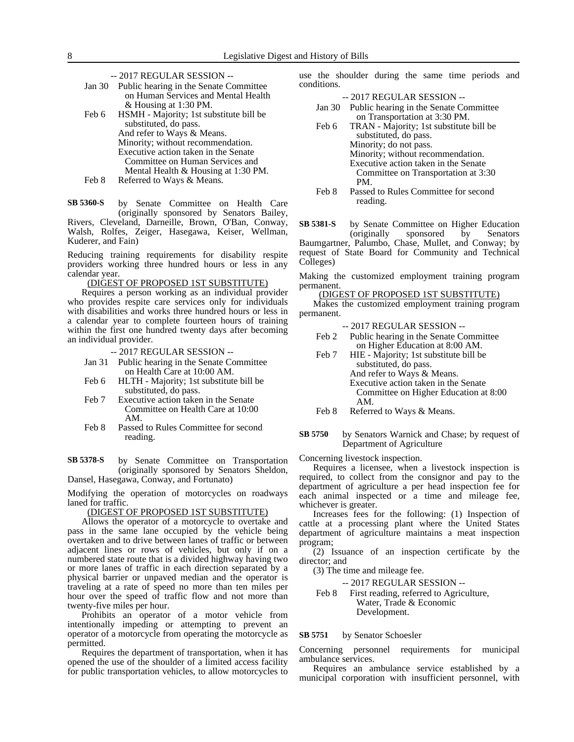- -- 2017 REGULAR SESSION --
- Jan 30 Public hearing in the Senate Committee on Human Services and Mental Health & Housing at 1:30 PM. Feb 6 HSMH - Majority; 1st substitute bill be substituted, do pass.

And refer to Ways & Means. Minority; without recommendation. Executive action taken in the Senate Committee on Human Services and Mental Health & Housing at 1:30 PM. Feb 8 Referred to Ways & Means.

by Senate Committee on Health Care (originally sponsored by Senators Bailey, Rivers, Cleveland, Darneille, Brown, O'Ban, Conway, Walsh, Rolfes, Zeiger, Hasegawa, Keiser, Wellman, Kuderer, and Fain) **SB 5360-S**

Reducing training requirements for disability respite providers working three hundred hours or less in any calendar year.

### (DIGEST OF PROPOSED 1ST SUBSTITUTE)

Requires a person working as an individual provider who provides respite care services only for individuals with disabilities and works three hundred hours or less in a calendar year to complete fourteen hours of training within the first one hundred twenty days after becoming an individual provider.

- -- 2017 REGULAR SESSION --
- Jan 31 Public hearing in the Senate Committee on Health Care at 10:00 AM.
- Feb 6 HLTH Majority; 1st substitute bill be substituted, do pass.
- Feb 7 Executive action taken in the Senate Committee on Health Care at 10:00 AM.
- Feb 8 Passed to Rules Committee for second reading.

by Senate Committee on Transportation (originally sponsored by Senators Sheldon, Dansel, Hasegawa, Conway, and Fortunato) **SB 5378-S**

Modifying the operation of motorcycles on roadways laned for traffic.

(DIGEST OF PROPOSED 1ST SUBSTITUTE)

Allows the operator of a motorcycle to overtake and pass in the same lane occupied by the vehicle being overtaken and to drive between lanes of traffic or between adjacent lines or rows of vehicles, but only if on a numbered state route that is a divided highway having two or more lanes of traffic in each direction separated by a physical barrier or unpaved median and the operator is traveling at a rate of speed no more than ten miles per hour over the speed of traffic flow and not more than twenty-five miles per hour.

Prohibits an operator of a motor vehicle from intentionally impeding or attempting to prevent an operator of a motorcycle from operating the motorcycle as permitted.

Requires the department of transportation, when it has opened the use of the shoulder of a limited access facility for public transportation vehicles, to allow motorcycles to use the shoulder during the same time periods and conditions.

-- 2017 REGULAR SESSION --

- Jan 30 Public hearing in the Senate Committee on Transportation at 3:30 PM.
- Feb 6 TRAN Majority; 1st substitute bill be substituted, do pass. Minority; do not pass. Minority; without recommendation. Executive action taken in the Senate Committee on Transportation at 3:30 PM.
- Feb 8 Passed to Rules Committee for second reading.

by Senate Committee on Higher Education (originally sponsored by Senators Baumgartner, Palumbo, Chase, Mullet, and Conway; by **SB 5381-S**

request of State Board for Community and Technical Colleges)

Making the customized employment training program permanent.

(DIGEST OF PROPOSED 1ST SUBSTITUTE)

Makes the customized employment training program permanent.

-- 2017 REGULAR SESSION --

- Feb 2 Public hearing in the Senate Committee on Higher Education at 8:00 AM.
- Feb 7 HIE Majority; 1st substitute bill be substituted, do pass. And refer to Ways & Means. Executive action taken in the Senate Committee on Higher Education at 8:00 AM.

Feb 8 Referred to Ways & Means.

#### by Senators Warnick and Chase; by request of Department of Agriculture **SB 5750**

Concerning livestock inspection.

Requires a licensee, when a livestock inspection is required, to collect from the consignor and pay to the department of agriculture a per head inspection fee for each animal inspected or a time and mileage fee, whichever is greater.

Increases fees for the following: (1) Inspection of cattle at a processing plant where the United States department of agriculture maintains a meat inspection program;

(2) Issuance of an inspection certificate by the director; and

(3) The time and mileage fee.

-- 2017 REGULAR SESSION --

Feb 8 First reading, referred to Agriculture, Water, Trade & Economic Development.

#### by Senator Schoesler **SB 5751**

Concerning personnel requirements for municipal ambulance services.

Requires an ambulance service established by a municipal corporation with insufficient personnel, with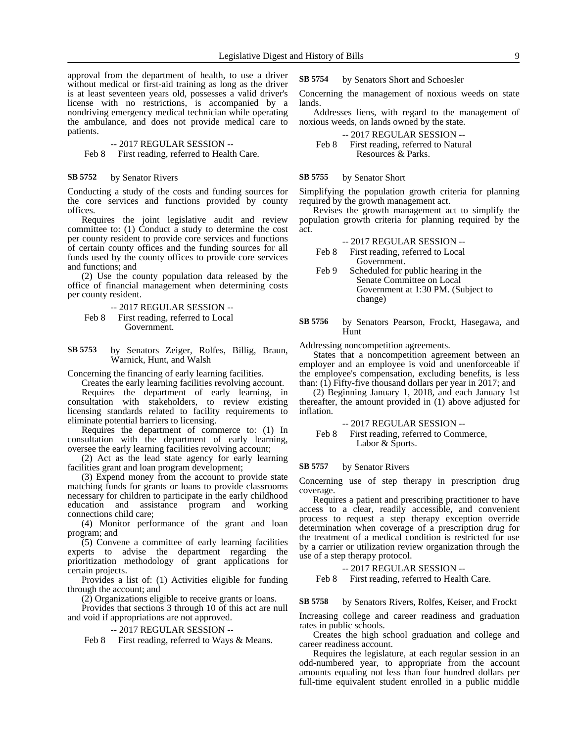approval from the department of health, to use a driver without medical or first-aid training as long as the driver is at least seventeen years old, possesses a valid driver's license with no restrictions, is accompanied by a nondriving emergency medical technician while operating the ambulance, and does not provide medical care to patients.

### -- 2017 REGULAR SESSION --

Feb 8 First reading, referred to Health Care.

#### by Senator Rivers **SB 5752**

Conducting a study of the costs and funding sources for the core services and functions provided by county offices.

Requires the joint legislative audit and review committee to: (1) Conduct a study to determine the cost per county resident to provide core services and functions of certain county offices and the funding sources for all funds used by the county offices to provide core services and functions; and

(2) Use the county population data released by the office of financial management when determining costs per county resident.

-- 2017 REGULAR SESSION --

Feb 8 First reading, referred to Local Government.

by Senators Zeiger, Rolfes, Billig, Braun, Warnick, Hunt, and Walsh **SB 5753**

Concerning the financing of early learning facilities.

Creates the early learning facilities revolving account. Requires the department of early learning, in consultation with stakeholders, to review existing licensing standards related to facility requirements to eliminate potential barriers to licensing.

Requires the department of commerce to: (1) In consultation with the department of early learning, oversee the early learning facilities revolving account;

(2) Act as the lead state agency for early learning facilities grant and loan program development;

(3) Expend money from the account to provide state matching funds for grants or loans to provide classrooms necessary for children to participate in the early childhood education and assistance program and working connections child care;

(4) Monitor performance of the grant and loan program; and

(5) Convene a committee of early learning facilities experts to advise the department regarding the prioritization methodology of grant applications for certain projects.

Provides a list of: (1) Activities eligible for funding through the account; and

(2) Organizations eligible to receive grants or loans.

Provides that sections 3 through 10 of this act are null and void if appropriations are not approved.

-- 2017 REGULAR SESSION --

Feb 8 First reading, referred to Ways & Means.

by Senators Short and Schoesler **SB 5754**

Concerning the management of noxious weeds on state lands.

Addresses liens, with regard to the management of noxious weeds, on lands owned by the state.

-- 2017 REGULAR SESSION -- Feb 8 First reading, referred to Natural Resources & Parks.

#### by Senator Short **SB 5755**

Simplifying the population growth criteria for planning required by the growth management act.

Revises the growth management act to simplify the population growth criteria for planning required by the act.

- -- 2017 REGULAR SESSION --
- Feb 8 First reading, referred to Local Government.
- Feb 9 Scheduled for public hearing in the Senate Committee on Local Government at 1:30 PM. (Subject to change)
- by Senators Pearson, Frockt, Hasegawa, and Hunt **SB 5756**

Addressing noncompetition agreements.

States that a noncompetition agreement between an employer and an employee is void and unenforceable if the employee's compensation, excluding benefits, is less than:  $(\overline{1})$  Fifty-five thousand dollars per year in 2017; and

(2) Beginning January 1, 2018, and each January 1st thereafter, the amount provided in (1) above adjusted for inflation.

-- 2017 REGULAR SESSION --

Feb 8 First reading, referred to Commerce, Labor & Sports.

#### by Senator Rivers **SB 5757**

Concerning use of step therapy in prescription drug coverage.

Requires a patient and prescribing practitioner to have access to a clear, readily accessible, and convenient process to request a step therapy exception override determination when coverage of a prescription drug for the treatment of a medical condition is restricted for use by a carrier or utilization review organization through the use of a step therapy protocol.

-- 2017 REGULAR SESSION --

Feb 8 First reading, referred to Health Care.

by Senators Rivers, Rolfes, Keiser, and Frockt **SB 5758**

Increasing college and career readiness and graduation rates in public schools.

Creates the high school graduation and college and career readiness account.

Requires the legislature, at each regular session in an odd-numbered year, to appropriate from the account amounts equaling not less than four hundred dollars per full-time equivalent student enrolled in a public middle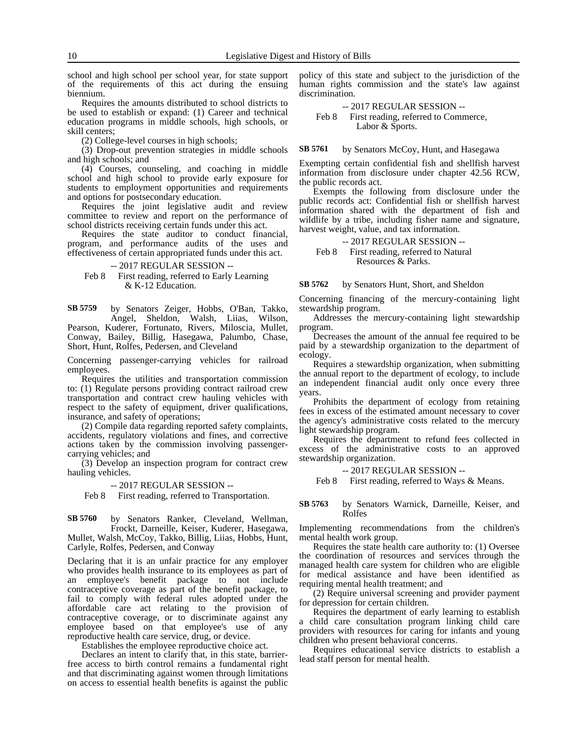school and high school per school year, for state support of the requirements of this act during the ensuing biennium.

Requires the amounts distributed to school districts to be used to establish or expand: (1) Career and technical education programs in middle schools, high schools, or skill centers;

(2) College-level courses in high schools;

(3) Drop-out prevention strategies in middle schools and high schools; and

(4) Courses, counseling, and coaching in middle school and high school to provide early exposure for students to employment opportunities and requirements and options for postsecondary education.

Requires the joint legislative audit and review committee to review and report on the performance of school districts receiving certain funds under this act.

Requires the state auditor to conduct financial, program, and performance audits of the uses and effectiveness of certain appropriated funds under this act.

-- 2017 REGULAR SESSION --

Feb 8 First reading, referred to Early Learning & K-12 Education.

by Senators Zeiger, Hobbs, O'Ban, Takko, Angel, Sheldon, Walsh, Liias, Wilson, Pearson, Kuderer, Fortunato, Rivers, Miloscia, Mullet, Conway, Bailey, Billig, Hasegawa, Palumbo, Chase, Short, Hunt, Rolfes, Pedersen, and Cleveland **SB 5759**

Concerning passenger-carrying vehicles for railroad employees.

Requires the utilities and transportation commission to: (1) Regulate persons providing contract railroad crew transportation and contract crew hauling vehicles with respect to the safety of equipment, driver qualifications, insurance, and safety of operations;

(2) Compile data regarding reported safety complaints, accidents, regulatory violations and fines, and corrective actions taken by the commission involving passengercarrying vehicles; and

(3) Develop an inspection program for contract crew hauling vehicles.

-- 2017 REGULAR SESSION --

Feb 8 First reading, referred to Transportation.

by Senators Ranker, Cleveland, Wellman, Frockt, Darneille, Keiser, Kuderer, Hasegawa, Mullet, Walsh, McCoy, Takko, Billig, Liias, Hobbs, Hunt, Carlyle, Rolfes, Pedersen, and Conway **SB 5760**

Declaring that it is an unfair practice for any employer who provides health insurance to its employees as part of an employee's benefit package to not include contraceptive coverage as part of the benefit package, to fail to comply with federal rules adopted under the affordable care act relating to the provision of contraceptive coverage, or to discriminate against any employee based on that employee's use of any reproductive health care service, drug, or device.

Establishes the employee reproductive choice act.

Declares an intent to clarify that, in this state, barrierfree access to birth control remains a fundamental right and that discriminating against women through limitations on access to essential health benefits is against the public policy of this state and subject to the jurisdiction of the human rights commission and the state's law against discrimination.

-- 2017 REGULAR SESSION -- Feb 8 First reading, referred to Commerce, Labor & Sports.

by Senators McCoy, Hunt, and Hasegawa **SB 5761**

Exempting certain confidential fish and shellfish harvest information from disclosure under chapter 42.56 RCW, the public records act.

Exempts the following from disclosure under the public records act: Confidential fish or shellfish harvest information shared with the department of fish and wildlife by a tribe, including fisher name and signature, harvest weight, value, and tax information.

-- 2017 REGULAR SESSION --

Feb 8 First reading, referred to Natural Resources & Parks.

by Senators Hunt, Short, and Sheldon **SB 5762**

Concerning financing of the mercury-containing light stewardship program.

Addresses the mercury-containing light stewardship program.

Decreases the amount of the annual fee required to be paid by a stewardship organization to the department of ecology.

Requires a stewardship organization, when submitting the annual report to the department of ecology, to include an independent financial audit only once every three years.

Prohibits the department of ecology from retaining fees in excess of the estimated amount necessary to cover the agency's administrative costs related to the mercury light stewardship program.

Requires the department to refund fees collected in excess of the administrative costs to an approved stewardship organization.

-- 2017 REGULAR SESSION --

Feb 8 First reading, referred to Ways & Means.

by Senators Warnick, Darneille, Keiser, and Rolfes **SB 5763**

Implementing recommendations from the children's mental health work group.

Requires the state health care authority to: (1) Oversee the coordination of resources and services through the managed health care system for children who are eligible for medical assistance and have been identified as requiring mental health treatment; and

(2) Require universal screening and provider payment for depression for certain children.

Requires the department of early learning to establish a child care consultation program linking child care providers with resources for caring for infants and young children who present behavioral concerns.

Requires educational service districts to establish a lead staff person for mental health.